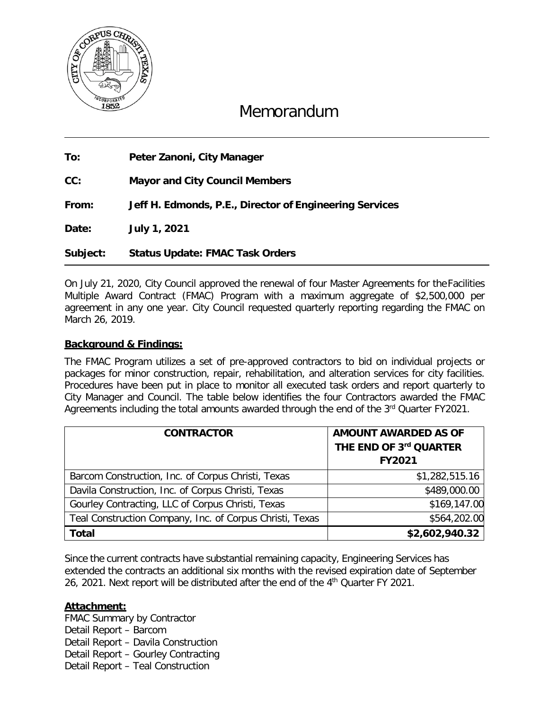

# Memorandum

**To: Peter Zanoni, City Manager**

**CC: Mayor and City Council Members**

**From: Jeff H. Edmonds, P.E., Director of Engineering Services** 

**Date: July 1, 2021**

**Subject: Status Update: FMAC Task Orders**

On July 21, 2020, City Council approved the renewal of four Master Agreements for theFacilities Multiple Award Contract (FMAC) Program with a maximum aggregate of \$2,500,000 per agreement in any one year. City Council requested quarterly reporting regarding the FMAC on March 26, 2019.

#### **Background & Findings:**

The FMAC Program utilizes a set of pre-approved contractors to bid on individual projects or packages for minor construction, repair, rehabilitation, and alteration services for city facilities. Procedures have been put in place to monitor all executed task orders and report quarterly to City Manager and Council. The table below identifies the four Contractors awarded the FMAC Agreements including the total amounts awarded through the end of the 3<sup>rd</sup> Quarter FY2021.

| <b>CONTRACTOR</b>                                        | <b>AMOUNT AWARDED AS OF</b><br>THE END OF 3rd QUARTER<br><b>FY2021</b> |
|----------------------------------------------------------|------------------------------------------------------------------------|
| Barcom Construction, Inc. of Corpus Christi, Texas       | \$1,282,515.16                                                         |
| Davila Construction, Inc. of Corpus Christi, Texas       | \$489,000.00                                                           |
| Gourley Contracting, LLC of Corpus Christi, Texas        | \$169,147.00                                                           |
| Teal Construction Company, Inc. of Corpus Christi, Texas | \$564,202.00                                                           |
| <b>Total</b>                                             | \$2,602,940.32                                                         |

Since the current contracts have substantial remaining capacity, Engineering Services has extended the contracts an additional six months with the revised expiration date of September 26, 2021. Next report will be distributed after the end of the 4<sup>th</sup> Quarter FY 2021.

#### **Attachment:**

FMAC Summary by Contractor Detail Report – Barcom Detail Report – Davila Construction Detail Report – Gourley Contracting Detail Report – Teal Construction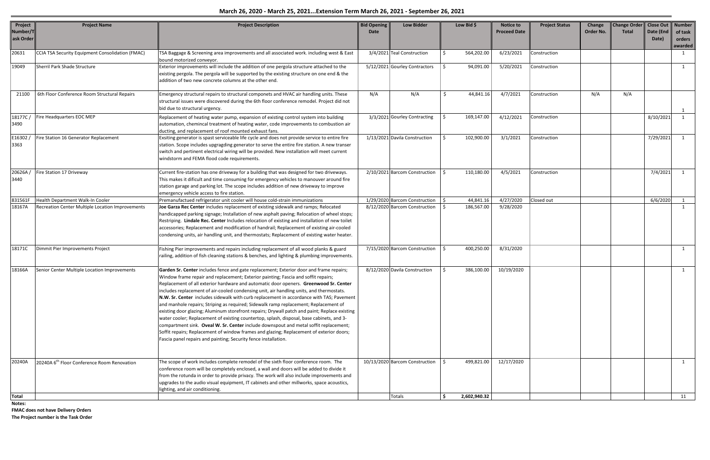| Project<br>Number/T<br>ask Order | <b>Project Name</b>                                     | <b>Project Description</b>                                                                                                                                                                                                                                                                                                                                                                                                                                                                                                                                                                                                                                                                                                                                                                                                                                                                                                                                                                                   | <b>Bid Opening</b><br>Date | <b>Low Bidder</b>              | Low Bid \$   | Notice to<br><b>Proceed Date</b> | <b>Project Status</b> | Change<br>Order No. | <b>Change Order</b><br><b>Total</b> | <b>Close Out</b><br>Date (End<br>Date) | <b>Number</b><br>of task<br>orders<br>awarded |
|----------------------------------|---------------------------------------------------------|--------------------------------------------------------------------------------------------------------------------------------------------------------------------------------------------------------------------------------------------------------------------------------------------------------------------------------------------------------------------------------------------------------------------------------------------------------------------------------------------------------------------------------------------------------------------------------------------------------------------------------------------------------------------------------------------------------------------------------------------------------------------------------------------------------------------------------------------------------------------------------------------------------------------------------------------------------------------------------------------------------------|----------------------------|--------------------------------|--------------|----------------------------------|-----------------------|---------------------|-------------------------------------|----------------------------------------|-----------------------------------------------|
| 20631                            | CCIA TSA Security Equipment Consolidation (FMAC)        | TSA Baggage & Screening area improvements and all associated work. including west & East<br>bound motorized conveyor.                                                                                                                                                                                                                                                                                                                                                                                                                                                                                                                                                                                                                                                                                                                                                                                                                                                                                        |                            | 3/4/2021 Teal Construction     | 564,202.00   | 6/23/2021                        | Construction          |                     |                                     |                                        | 1                                             |
| 19049                            | Sherril Park Shade Structure                            | Exterior improvements will include the addition of one pergola structure attached to the<br>existing pergola. The pergola will be supported by the existing structure on one end & the<br>addition of two new concrete columns at the other end.                                                                                                                                                                                                                                                                                                                                                                                                                                                                                                                                                                                                                                                                                                                                                             |                            | 5/12/2021 Gourley Contractors  | 94,091.00    | 5/20/2021                        | Construction          |                     |                                     |                                        | $\mathbf{1}$                                  |
| 21100                            | 6th Floor Conference Room Structural Repairs            | Emergency structural repairs to structural componets and HVAC air handling units. These<br>structural issues were discovered during the 6th floor conference remodel. Project did not<br>bid due to structural urgency.                                                                                                                                                                                                                                                                                                                                                                                                                                                                                                                                                                                                                                                                                                                                                                                      | N/A                        | N/A                            | 44,841.16    | 4/7/2021                         | Construction          | N/A                 | N/A                                 |                                        | $\mathbf{1}$                                  |
| 18177C/<br>3490                  | Fire Headquarters EOC MEP                               | Replacement of heating water pump, expansion of existing control system into building<br>automation, chemincal treatment of heating water, code improvements to combustion air<br>ducting, and replacement of roof mounted exhaust fans.                                                                                                                                                                                                                                                                                                                                                                                                                                                                                                                                                                                                                                                                                                                                                                     |                            | 3/3/2021 Gourley Contracting   | 169,147.00   | 4/12/2021                        | Construction          |                     |                                     | 8/10/2021                              | $\mathbf{1}$                                  |
| E16302<br>3363                   | Fire Station 16 Generator Replacement                   | Exsiting generator is spast serviceable life cycle and does not provide service to entire fire<br>station. Scope includes upgragding generator to serve the entire fire station. A new transer<br>switch and pertinent electrical wiring will be provided. New installation will meet current<br>windstorm and FEMA flood code requirements.                                                                                                                                                                                                                                                                                                                                                                                                                                                                                                                                                                                                                                                                 |                            | 1/13/2021 Davila Construction  | 102,900.00   | 3/1/2021                         | Construction          |                     |                                     | 7/29/2021                              | $\mathbf{1}$                                  |
| 20626A/<br>3440                  | Fire Station 17 Driveway                                | Current fire-station has one driveway for a building that was designed for two driveways.<br>This makes it dificult and time consuming for emergency vehicles to manouver around fire<br>station garage and parking lot. The scope includes addition of new driveway to improve<br>emergency vehicle access to fire station.                                                                                                                                                                                                                                                                                                                                                                                                                                                                                                                                                                                                                                                                                 |                            | 2/10/2021 Barcom Construction  | 110,180.00   | 4/5/2021                         | Construction          |                     |                                     | 7/4/2021                               | $\mathbf{1}$                                  |
| 831561F                          | Health Department Walk-In Cooler                        | Premanufactued refrigerator unit cooler will house cold-strain immunizations                                                                                                                                                                                                                                                                                                                                                                                                                                                                                                                                                                                                                                                                                                                                                                                                                                                                                                                                 |                            | 1/29/2020 Barcom Construction  | 44,841.16    | 4/27/2020                        | Closed out            |                     |                                     | 6/6/2020                               |                                               |
| 18167A                           | Recreation Center Multiple Location Improvements        | Joe Garza Rec Center includes replacement of existing sidewalk and ramps; Relocated<br>handicapped parking signage; Installation of new asphalt paving; Relocation of wheel stops;<br>Restriping. Lindale Rec. Center Includes relocation of existing and installation of new toilet<br>accessories; Replacement and modification of handrail; Replacement of existing air-cooled<br>condensing units, air handling unit, and thermostats; Replacement of existing water heater.                                                                                                                                                                                                                                                                                                                                                                                                                                                                                                                             |                            | 8/12/2020 Barcom Construction  | 186,567.00   | 9/28/2020                        |                       |                     |                                     |                                        | $\mathbf{1}$                                  |
| 18171C                           | Dimmit Pier Improvements Project                        | Fishing Pier improvements and repairs including replacement of all wood planks & guard<br>railing, addition of fish cleaning stations & benches, and lighting & plumbing improvements.                                                                                                                                                                                                                                                                                                                                                                                                                                                                                                                                                                                                                                                                                                                                                                                                                       |                            | 7/15/2020 Barcom Construction  | 400,250.00   | 8/31/2020                        |                       |                     |                                     |                                        | 1                                             |
| 18166A                           | Senior Center Multiple Location Improvements            | Garden Sr. Center includes fence and gate replacement; Exterior door and frame repairs;<br>Window frame repair and replacement; Exterior painting; Fascia and soffit repairs;<br>Replacement of all exterior hardware and automatic door openers. Greenwood Sr. Center<br>includes replacement of air-cooled condensing unit, air handling units, and thermostats.<br>N.W. Sr. Center includes sidewalk with curb replacement in accordance with TAS; Pavement<br>and manhole repairs; Striping as required; Sidewalk ramp replacement; Replacement of<br>existing door glazing; Aluminum storefront repairs; Drywall patch and paint; Replace existing<br>water cooler; Replacement of existing countertop, splash, disposal, base cabinets, and 3-<br>compartment sink. Oveal W. Sr. Center include downspout and metal soffit replacement;<br>Soffit repairs; Replacement of window frames and glazing; Replacement of exterior doors;<br>Fascia panel repairs and painting; Security fence installation. |                            | 8/12/2020 Davila Construction  | 386,100.00   | 10/19/2020                       |                       |                     |                                     |                                        | 1                                             |
| 20240A                           | 20240A 6 <sup>th</sup> Floor Conference Room Renovation | The scope of work includes complete remodel of the sixth floor conference room. The<br>conference room will be completely enclosed, a wall and doors will be added to divide it<br>from the rotunda in order to provide privacy. The work will also include improvements and<br>upgrades to the audio visual equipment, IT cabinets and other millworks, space acoustics,<br>lighting, and air conditioning.                                                                                                                                                                                                                                                                                                                                                                                                                                                                                                                                                                                                 |                            | 10/13/2020 Barcom Construction | 499,821.00   | 12/17/2020                       |                       |                     |                                     |                                        | 1                                             |
| <b>Total</b>                     |                                                         |                                                                                                                                                                                                                                                                                                                                                                                                                                                                                                                                                                                                                                                                                                                                                                                                                                                                                                                                                                                                              |                            | Totals                         | 2,602,940.32 |                                  |                       |                     |                                     |                                        | 11                                            |

**Notes:**

**FMAC does not have Delivery Orders The Project number is the Task Order**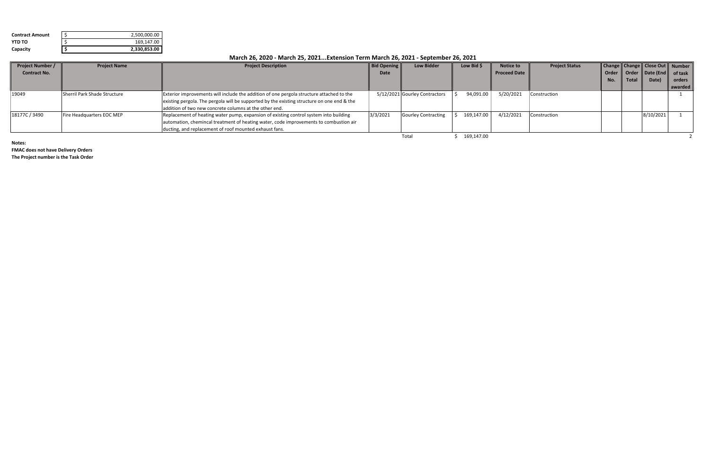| <b>Contract Amount</b> | 2,500,000.00 |
|------------------------|--------------|
| <b>YTD TO</b>          | 169,147.00   |
| Capacity               | 2,330,853.00 |

| <b>Project Number /</b> | <b>Project Name</b>          | <b>Project Description</b>                                                                 | <b>Bid Opening</b> | <b>Low Bidder</b>             | Low Bid \$ | Notice to           | <b>Project Status</b> |     |       | Change   Change   Close Out   Number |         |
|-------------------------|------------------------------|--------------------------------------------------------------------------------------------|--------------------|-------------------------------|------------|---------------------|-----------------------|-----|-------|--------------------------------------|---------|
| <b>Contract No.</b>     |                              |                                                                                            | Date               |                               |            | <b>Proceed Date</b> |                       |     |       | Order   Order   Date (End   of task  |         |
|                         |                              |                                                                                            |                    |                               |            |                     |                       | No. | Total | Date)                                | orders  |
|                         |                              |                                                                                            |                    |                               |            |                     |                       |     |       |                                      | awarded |
| 19049                   | Sherril Park Shade Structure | Exterior improvements will include the addition of one pergola structure attached to the   |                    | 5/12/2021 Gourley Contractors | 94,091.00  | 5/20/2021           | Construction          |     |       |                                      |         |
|                         |                              | existing pergola. The pergola will be supported by the existing structure on one end & the |                    |                               |            |                     |                       |     |       |                                      |         |
|                         |                              | addition of two new concrete columns at the other end.                                     |                    |                               |            |                     |                       |     |       |                                      |         |
| 18177C / 3490           | Fire Headquarters EOC MEP    | Replacement of heating water pump, expansion of existing control system into building      | 3/3/2021           | <b>Gourley Contracting</b>    | 169,147.00 | 4/12/2021           | Construction          |     |       | 8/10/2021                            |         |
|                         |                              | automation, chemincal treatment of heating water, code improvements to combustion air      |                    |                               |            |                     |                       |     |       |                                      |         |
|                         |                              | ducting, and replacement of roof mounted exhaust fans.                                     |                    |                               |            |                     |                       |     |       |                                      |         |
|                         |                              |                                                                                            |                    | Total                         | 169,147.00 |                     |                       |     |       |                                      |         |

**Notes:**

**FMAC does not have Delivery Orders**

**The Project number is the Task Order**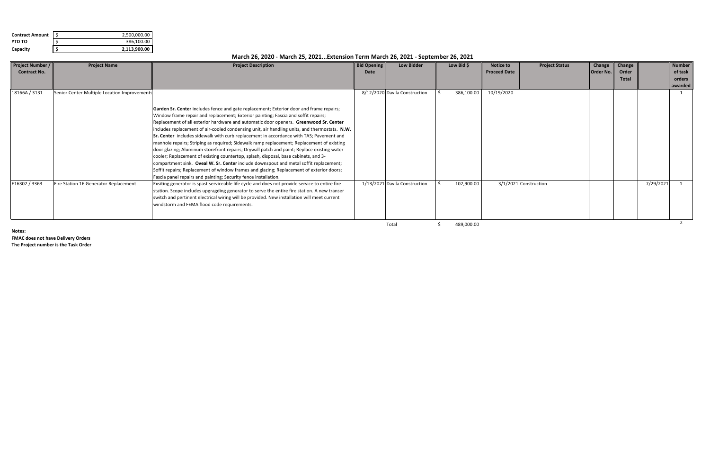| <b>Contract Amount</b> | 2,500,000.00 |
|------------------------|--------------|
| YTD TO                 | 386,100.00   |
| Capacity               | 2,113,900.00 |

| <b>Project Number /</b> | <b>Project Name</b>                          | <b>Project Description</b>                                                                                                                                                                                                                                                                                                                                                                                                                                                                                                                                                                                                                                                                                                                                                                                                                                                                                                                                                                                   | <b>Bid Opening</b> | <b>Low Bidder</b>             | Low Bid $\oint$ | <b>Notice to</b>    | <b>Project Status</b> | Change           | Change |           | <b>Number</b> |
|-------------------------|----------------------------------------------|--------------------------------------------------------------------------------------------------------------------------------------------------------------------------------------------------------------------------------------------------------------------------------------------------------------------------------------------------------------------------------------------------------------------------------------------------------------------------------------------------------------------------------------------------------------------------------------------------------------------------------------------------------------------------------------------------------------------------------------------------------------------------------------------------------------------------------------------------------------------------------------------------------------------------------------------------------------------------------------------------------------|--------------------|-------------------------------|-----------------|---------------------|-----------------------|------------------|--------|-----------|---------------|
| <b>Contract No.</b>     |                                              |                                                                                                                                                                                                                                                                                                                                                                                                                                                                                                                                                                                                                                                                                                                                                                                                                                                                                                                                                                                                              | Date               |                               |                 | <b>Proceed Date</b> |                       | <b>Order No.</b> | Order  |           | of task       |
|                         |                                              |                                                                                                                                                                                                                                                                                                                                                                                                                                                                                                                                                                                                                                                                                                                                                                                                                                                                                                                                                                                                              |                    |                               |                 |                     |                       |                  | Total  |           | orders        |
|                         |                                              |                                                                                                                                                                                                                                                                                                                                                                                                                                                                                                                                                                                                                                                                                                                                                                                                                                                                                                                                                                                                              |                    |                               |                 |                     |                       |                  |        |           | awarded       |
| 18166A / 3131           | Senior Center Multiple Location Improvements |                                                                                                                                                                                                                                                                                                                                                                                                                                                                                                                                                                                                                                                                                                                                                                                                                                                                                                                                                                                                              |                    | 8/12/2020 Davila Construction | 386,100.00      | 10/19/2020          |                       |                  |        |           |               |
|                         |                                              | Garden Sr. Center includes fence and gate replacement; Exterior door and frame repairs;<br>Window frame repair and replacement; Exterior painting; Fascia and soffit repairs;<br>Replacement of all exterior hardware and automatic door openers. Greenwood Sr. Center<br>includes replacement of air-cooled condensing unit, air handling units, and thermostats. N.W.<br>Sr. Center includes sidewalk with curb replacement in accordance with TAS; Pavement and<br>manhole repairs; Striping as required; Sidewalk ramp replacement; Replacement of existing<br>door glazing; Aluminum storefront repairs; Drywall patch and paint; Replace existing water<br>cooler; Replacement of existing countertop, splash, disposal, base cabinets, and 3-<br>compartment sink. Oveal W. Sr. Center include downspout and metal soffit replacement;<br>Soffit repairs; Replacement of window frames and glazing; Replacement of exterior doors;<br>Fascia panel repairs and painting; Security fence installation. |                    |                               |                 |                     |                       |                  |        |           |               |
| E16302 / 3363           | Fire Station 16 Generator Replacement        | Exsiting generator is spast serviceable life cycle and does not provide service to entire fire<br>station. Scope includes upgragding generator to serve the entire fire station. A new transer<br>switch and pertinent electrical wiring will be provided. New installation will meet current<br>windstorm and FEMA flood code requirements.                                                                                                                                                                                                                                                                                                                                                                                                                                                                                                                                                                                                                                                                 |                    | 1/13/2021 Davila Construction | 102,900.00      |                     | 3/1/2021 Construction |                  |        | 7/29/2021 |               |

Total \$ 489,000.00

**Notes:**

**FMAC does not have Delivery Orders The Project number is the Task Order**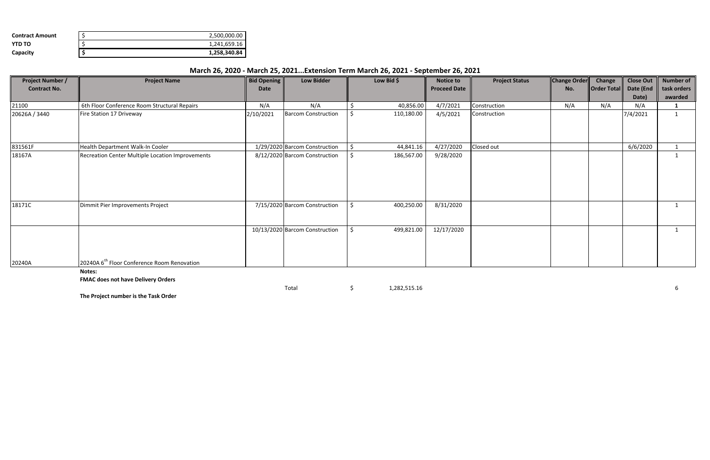| <b>Contract Amount</b> | 2,500,000.00 |
|------------------------|--------------|
| YTD TO                 | 1,241,659.16 |
| Capacity               | 1,258,340.84 |

| <b>Project Number /</b> | <b>Project Name</b>                                     | <b>Bid Opening</b> | <b>Low Bidder</b>              |    | Low Bid $\oint$ | <b>Notice to</b>    | <b>Project Status</b> | <b>Change Order</b> | Change                | <b>Close Out</b> | Number of   |
|-------------------------|---------------------------------------------------------|--------------------|--------------------------------|----|-----------------|---------------------|-----------------------|---------------------|-----------------------|------------------|-------------|
| <b>Contract No.</b>     |                                                         | <b>Date</b>        |                                |    |                 | <b>Proceed Date</b> |                       | No.                 | $\ $ Order Total $\ $ | Date (End        | task orders |
|                         |                                                         |                    |                                |    |                 |                     |                       |                     |                       | Date)            | awarded     |
| 21100                   | 6th Floor Conference Room Structural Repairs            | N/A                | N/A                            |    | 40,856.00       | 4/7/2021            | Construction          | N/A                 | N/A                   | N/A              |             |
| 20626A / 3440           | Fire Station 17 Driveway                                | 2/10/2021          | <b>Barcom Construction</b>     |    | 110,180.00      | 4/5/2021            | Construction          |                     |                       | 7/4/2021         |             |
| 831561F                 | Health Department Walk-In Cooler                        |                    | 1/29/2020 Barcom Construction  | -S | 44,841.16       | 4/27/2020           | Closed out            |                     |                       | 6/6/2020         |             |
| 18167A                  | Recreation Center Multiple Location Improvements        |                    | 8/12/2020 Barcom Construction  |    | 186,567.00      | 9/28/2020           |                       |                     |                       |                  |             |
| 18171C                  | Dimmit Pier Improvements Project                        |                    | 7/15/2020 Barcom Construction  | -S | 400,250.00      | 8/31/2020           |                       |                     |                       |                  |             |
|                         |                                                         |                    | 10/13/2020 Barcom Construction |    | 499,821.00      | 12/17/2020          |                       |                     |                       |                  |             |
| 20240A                  | 20240A 6 <sup>th</sup> Floor Conference Room Renovation |                    |                                |    |                 |                     |                       |                     |                       |                  |             |
|                         | Notes:<br><b>EMAC doos not have Delivery Orders</b>     |                    |                                |    |                 |                     |                       |                     |                       |                  |             |

**FMAC does not have Delivery Orders**

 $\uparrow$  5 66  $\downarrow$  1,282,515.16 66

**The Project number is the Task Order**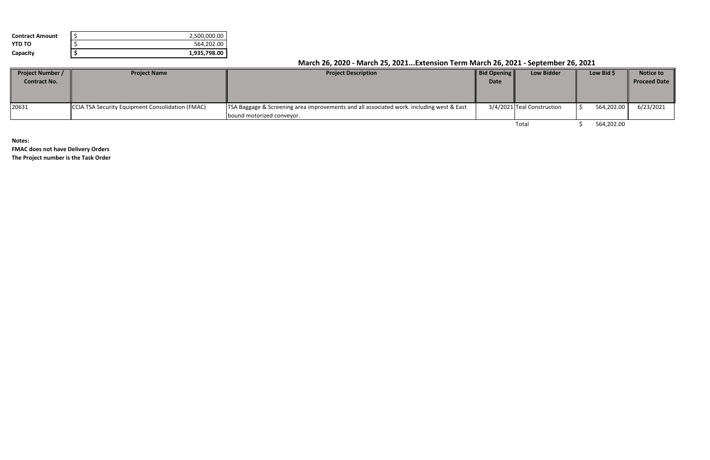| <b>Contract Amount</b> | 2,500,000.00 |
|------------------------|--------------|
| YTD TO                 | 564.202.00   |
| Capacity               | 1,935,798.00 |

| <b>Project Number /</b> | <b>Project Name</b>                              | <b>Project Description</b>                                                                              | <b>Bid Opening</b> | <b>Low Bidder</b>          | Low Bid \$ | <b>Notice to</b>    |
|-------------------------|--------------------------------------------------|---------------------------------------------------------------------------------------------------------|--------------------|----------------------------|------------|---------------------|
| <b>Contract No.</b>     |                                                  |                                                                                                         | <b>Date</b>        |                            |            | <b>Proceed Date</b> |
|                         |                                                  |                                                                                                         |                    |                            |            |                     |
|                         |                                                  |                                                                                                         |                    |                            |            |                     |
| 20631                   | CCIA TSA Security Equipment Consolidation (FMAC) | <b>TSA Baggage &amp; Screening area improvements and all associated work. including west &amp; East</b> |                    | 3/4/2021 Teal Construction | 564,202.00 | 6/23/2021           |
|                         |                                                  | bound motorized conveyor.                                                                               |                    |                            |            |                     |
|                         |                                                  |                                                                                                         |                    | Total                      | 564,202.00 |                     |

**Notes:**

**FMAC does not have Delivery Orders The Project number is the Task Order**